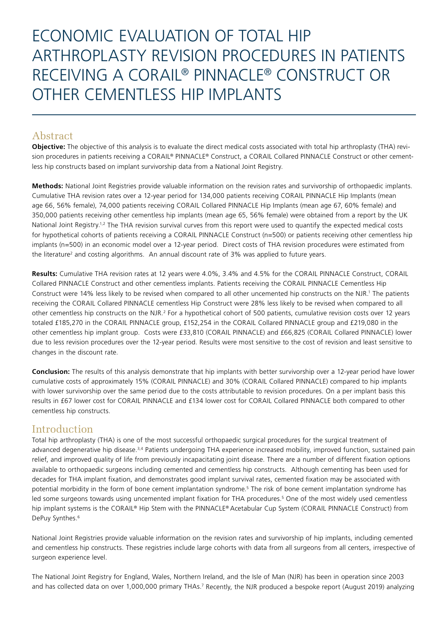# ECONOMIC EVALUATION OF TOTAL HIP ARTHROPLASTY REVISION PROCEDURES IN PATIENTS RECEIVING A CORAIL® PINNACLE® CONSTRUCT OR OTHER CEMENTLESS HIP IMPLANTS

# Abstract

**Objective:** The objective of this analysis is to evaluate the direct medical costs associated with total hip arthroplasty (THA) revision procedures in patients receiving a CORAIL® PINNACLE® Construct, a CORAIL Collared PINNACLE Construct or other cementless hip constructs based on implant survivorship data from a National Joint Registry.

**Methods:** National Joint Registries provide valuable information on the revision rates and survivorship of orthopaedic implants. Cumulative THA revision rates over a 12-year period for 134,000 patients receiving CORAIL PINNACLE Hip Implants (mean age 66, 56% female), 74,000 patients receiving CORAIL Collared PINNACLE Hip Implants (mean age 67, 60% female) and 350,000 patients receiving other cementless hip implants (mean age 65, 56% female) were obtained from a report by the UK National Joint Registry.<sup>1,2</sup> The THA revision survival curves from this report were used to quantify the expected medical costs for hypothetical cohorts of patients receiving a CORAIL PINNACLE Construct (n=500) or patients receiving other cementless hip implants (n=500) in an economic model over a 12-year period. Direct costs of THA revision procedures were estimated from the literature<sup>2</sup> and costing algorithms. An annual discount rate of 3% was applied to future years.

**Results:** Cumulative THA revision rates at 12 years were 4.0%, 3.4% and 4.5% for the CORAIL PINNACLE Construct, CORAIL Collared PINNACLE Construct and other cementless implants. Patients receiving the CORAIL PINNACLE Cementless Hip Construct were 14% less likely to be revised when compared to all other uncemented hip constructs on the NJR.<sup>1</sup> The patients receiving the CORAIL Collared PINNACLE cementless Hip Construct were 28% less likely to be revised when compared to all other cementless hip constructs on the NJR.<sup>2</sup> For a hypothetical cohort of 500 patients, cumulative revision costs over 12 years totaled £185,270 in the CORAIL PINNACLE group, £152,254 in the CORAIL Collared PINNACLE group and £219,080 in the other cementless hip implant group. Costs were £33,810 (CORAIL PINNACLE) and £66,825 (CORAIL Collared PINNACLE) lower due to less revision procedures over the 12-year period. Results were most sensitive to the cost of revision and least sensitive to changes in the discount rate.

**Conclusion:** The results of this analysis demonstrate that hip implants with better survivorship over a 12-year period have lower cumulative costs of approximately 15% (CORAIL PINNACLE) and 30% (CORAIL Collared PINNACLE) compared to hip implants with lower survivorship over the same period due to the costs attributable to revision procedures. On a per implant basis this results in £67 lower cost for CORAIL PINNACLE and £134 lower cost for CORAIL Collared PINNACLE both compared to other cementless hip constructs.

# Introduction

Total hip arthroplasty (THA) is one of the most successful orthopaedic surgical procedures for the surgical treatment of advanced degenerative hip disease.<sup>3,4</sup> Patients undergoing THA experience increased mobility, improved function, sustained pain relief, and improved quality of life from previously incapacitating joint disease. There are a number of different fixation options available to orthopaedic surgeons including cemented and cementless hip constructs. Although cementing has been used for decades for THA implant fixation, and demonstrates good implant survival rates, cemented fixation may be associated with potential morbidity in the form of bone cement implantation syndrome.5 The risk of bone cement implantation syndrome has led some surgeons towards using uncemented implant fixation for THA procedures.<sup>5</sup> One of the most widely used cementless hip implant systems is the CORAIL® Hip Stem with the PINNACLE® Acetabular Cup System (CORAIL PINNACLE Construct) from DePuy Synthes.<sup>6</sup>

National Joint Registries provide valuable information on the revision rates and survivorship of hip implants, including cemented and cementless hip constructs. These registries include large cohorts with data from all surgeons from all centers, irrespective of surgeon experience level.

The National Joint Registry for England, Wales, Northern Ireland, and the Isle of Man (NJR) has been in operation since 2003 and has collected data on over 1,000,000 primary THAs.<sup>7</sup> Recently, the NJR produced a bespoke report (August 2019) analyzing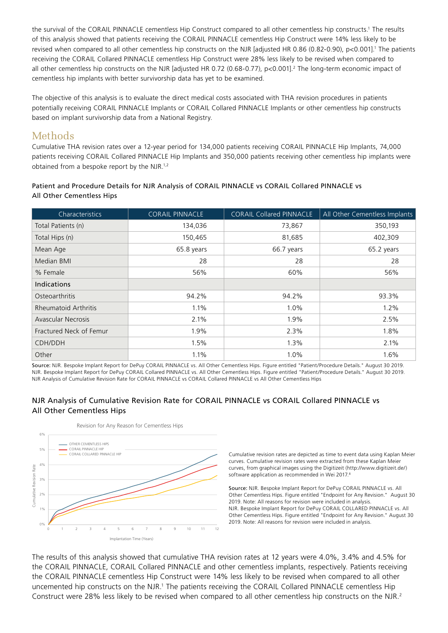the survival of the CORAIL PINNACLE cementless Hip Construct compared to all other cementless hip constructs.<sup>1</sup> The results of this analysis showed that patients receiving the CORAIL PINNACLE cementless Hip Construct were 14% less likely to be revised when compared to all other cementless hip constructs on the NJR [adjusted HR 0.86 (0.82-0.90), p<0.001].<sup>1</sup> The patients receiving the CORAIL Collared PINNACLE cementless Hip Construct were 28% less likely to be revised when compared to all other cementless hip constructs on the NJR [adjusted HR 0.72 (0.68-0.77), p<0.001].<sup>2</sup> The long-term economic impact of cementless hip implants with better survivorship data has yet to be examined.

The objective of this analysis is to evaluate the direct medical costs associated with THA revision procedures in patients potentially receiving CORAIL PINNACLE Implants or CORAIL Collared PINNACLE Implants or other cementless hip constructs based on implant survivorship data from a National Registry.

## **Methods**

Cumulative THA revision rates over a 12-year period for 134,000 patients receiving CORAIL PINNACLE Hip Implants, 74,000 patients receiving CORAIL Collared PINNACLE Hip Implants and 350,000 patients receiving other cementless hip implants were obtained from a bespoke report by the NJR.1,2

#### Patient and Procedure Details for NJR Analysis of CORAIL PINNACLE vs CORAIL Collared PINNACLE vs All Other Cementless Hips

| Characteristics             | <b>CORAIL PINNACLE</b> | <b>CORAIL Collared PINNACLE</b> | All Other Cementless Implants |
|-----------------------------|------------------------|---------------------------------|-------------------------------|
| Total Patients (n)          | 134,036                | 73,867                          | 350,193                       |
| Total Hips (n)              | 150,465                | 81,685                          | 402,309                       |
| Mean Age                    | 65.8 years             | 66.7 years                      | 65.2 years                    |
| Median BMI                  | 28                     | 28                              | 28                            |
| % Female                    | 56%                    | 60%                             | 56%                           |
| Indications                 |                        |                                 |                               |
| <b>Osteoarthritis</b>       | 94.2%                  | 94.2%                           | 93.3%                         |
| <b>Rheumatoid Arthritis</b> | 1.1%                   | 1.0%                            | 1.2%                          |
| <b>Avascular Necrosis</b>   | 2.1%                   | 1.9%                            | 2.5%                          |
| Fractured Neck of Femur     | 1.9%                   | 2.3%                            | 1.8%                          |
| CDH/DDH                     | 1.5%                   | 1.3%                            | 2.1%                          |
| Other                       | 1.1%                   | 1.0%                            | 1.6%                          |

Source: NJR. Bespoke Implant Report for DePuy CORAIL PINNACLE vs. All Other Cementless Hips. Figure entitled "Patient/Procedure Details." August 30 2019. NJR. Bespoke Implant Report for DePuy CORAIL Collared PINNACLE vs. All Other Cementless Hips. Figure entitled "Patient/Procedure Details." August 30 2019. NJR Analysis of Cumulative Revision Rate for CORAIL PINNACLE vs CORAIL Collared PINNACLE vs All Other Cementless Hips

#### NJR Analysis of Cumulative Revision Rate for CORAIL PINNACLE vs CORAIL Collared PINNACLE vs All Other Cementless Hips



Cumulative revision rates are depicted as time to event data using Kaplan Meier curves. Cumulative revision rates were extracted from these Kaplan Meier curves, from graphical images using the Digitizeit (http://www.digitizeit.de/) software application as recommended in Wei 2017<sup>8</sup>

Source: NJR. Bespoke Implant Report for DePuy CORAIL PINNACLE vs. All Other Cementless Hips. Figure entitled "Endpoint for Any Revision." August 30 2019. Note: All reasons for revision were included in analysis. NJR. Bespoke Implant Report for DePuy CORAIL COLLARED PINNACLE vs. All Other Cementless Hips. Figure entitled "Endpoint for Any Revision." August 30 2019. Note: All reasons for revision were included in analysis.

The results of this analysis showed that cumulative THA revision rates at 12 years were 4.0%, 3.4% and 4.5% for the CORAIL PINNACLE, CORAIL Collared PINNACLE and other cementless implants, respectively. Patients receiving the CORAIL PINNACLE cementless Hip Construct were 14% less likely to be revised when compared to all other uncemented hip constructs on the NJR.<sup>1</sup> The patients receiving the CORAIL Collared PINNACLE cementless Hip Construct were 28% less likely to be revised when compared to all other cementless hip constructs on the NJR.2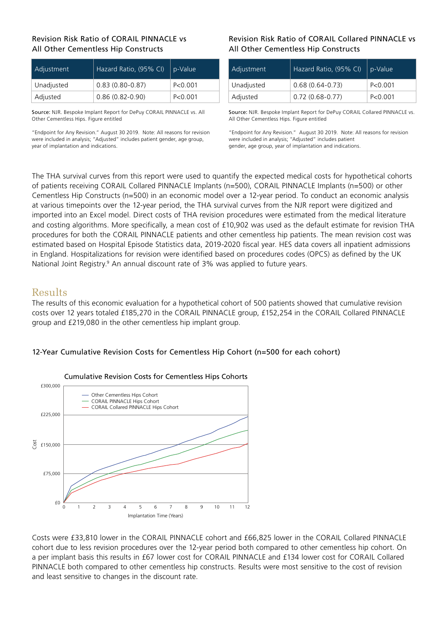#### Revision Risk Ratio of CORAIL PINNACLE vs All Other Cementless Hip Constructs

| Adjustment | Hazard Ratio, (95% CI) | p-Value   |
|------------|------------------------|-----------|
| Unadjusted | $0.83(0.80 - 0.87)$    | P < 0.001 |
| Adjusted   | $0.86(0.82 - 0.90)$    | P < 0.001 |

Source: NJR. Bespoke Implant Report for DePuy CORAIL PINNACLE vs. All Other Cementless Hips. Figure entitled

"Endpoint for Any Revision." August 30 2019. Note: All reasons for revision were included in analysis; "Adjusted" includes patient gender, age group, year of implantation and indications.

#### Revision Risk Ratio of CORAIL Collared PINNACLE vs All Other Cementless Hip Constructs

| Adjustment | Hazard Ratio, (95% CI) | p-Value   |
|------------|------------------------|-----------|
| Unadjusted | $0.68(0.64 - 0.73)$    | P < 0.001 |
| Adjusted   | $0.72(0.68-0.77)$      | P < 0.001 |

Source: NJR. Bespoke Implant Report for DePuy CORAIL Collared PINNACLE vs. All Other Cementless Hips. Figure entitled

"Endpoint for Any Revision." August 30 2019. Note: All reasons for revision were included in analysis; "Adjusted" includes patient gender, age group, year of implantation and indications.

The THA survival curves from this report were used to quantify the expected medical costs for hypothetical cohorts of patients receiving CORAIL Collared PINNACLE Implants (n=500), CORAIL PINNACLE Implants (n=500) or other Cementless Hip Constructs (n=500) in an economic model over a 12-year period. To conduct an economic analysis at various timepoints over the 12-year period, the THA survival curves from the NJR report were digitized and imported into an Excel model. Direct costs of THA revision procedures were estimated from the medical literature and costing algorithms. More specifically, a mean cost of £10,902 was used as the default estimate for revision THA procedures for both the CORAIL PINNACLE patients and other cementless hip patients. The mean revision cost was estimated based on Hospital Episode Statistics data, 2019-2020 fiscal year. HES data covers all inpatient admissions in England. Hospitalizations for revision were identified based on procedures codes (OPCS) as defined by the UK National Joint Registry.<sup>9</sup> An annual discount rate of 3% was applied to future years.

# Results

The results of this economic evaluation for a hypothetical cohort of 500 patients showed that cumulative revision costs over 12 years totaled £185,270 in the CORAIL PINNACLE group, £152,254 in the CORAIL Collared PINNACLE group and £219,080 in the other cementless hip implant group.

#### 12-Year Cumulative Revision Costs for Cementless Hip Cohort (n=500 for each cohort)



#### Cumulative Revision Costs for Cementless Hips Cohorts

Costs were £33,810 lower in the CORAIL PINNACLE cohort and £66,825 lower in the CORAIL Collared PINNACLE cohort due to less revision procedures over the 12-year period both compared to other cementless hip cohort. On a per implant basis this results in £67 lower cost for CORAIL PINNACLE and £134 lower cost for CORAIL Collared PINNACLE both compared to other cementless hip constructs. Results were most sensitive to the cost of revision and least sensitive to changes in the discount rate.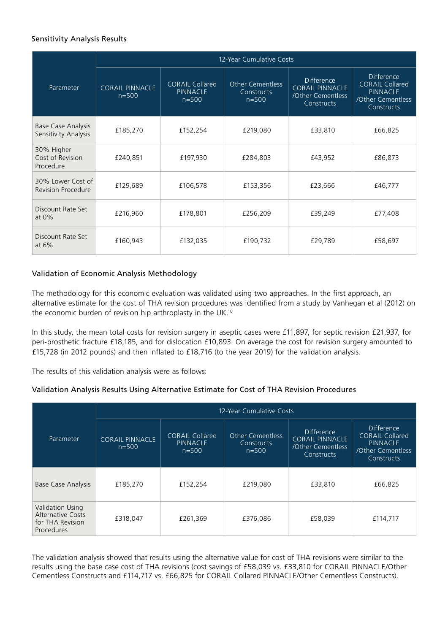## Sensitivity Analysis Results

|                                                   | 12-Year Cumulative Costs            |                                                        |                                                    |                                                                                |                                                                                                   |  |
|---------------------------------------------------|-------------------------------------|--------------------------------------------------------|----------------------------------------------------|--------------------------------------------------------------------------------|---------------------------------------------------------------------------------------------------|--|
| Parameter                                         | <b>CORAIL PINNACLE</b><br>$n = 500$ | <b>CORAIL Collared</b><br><b>PINNACLE</b><br>$n = 500$ | <b>Other Cementless</b><br>Constructs<br>$n = 500$ | <b>Difference</b><br><b>CORAIL PINNACLE</b><br>/Other Cementless<br>Constructs | <b>Difference</b><br><b>CORAIL Collared</b><br><b>PINNACLE</b><br>/Other Cementless<br>Constructs |  |
| <b>Base Case Analysis</b><br>Sensitivity Analysis | £185,270                            | £152,254                                               | £219,080                                           | £33,810                                                                        | £66,825                                                                                           |  |
| 30% Higher<br>Cost of Revision<br>Procedure       | £240,851                            | £197,930                                               | £284,803                                           | £43,952                                                                        | £86,873                                                                                           |  |
| 30% Lower Cost of<br><b>Revision Procedure</b>    | £129,689                            | £106,578                                               | £153,356                                           | £23,666                                                                        | £46,777                                                                                           |  |
| Discount Rate Set<br>at $0\%$                     | £216,960                            | £178,801                                               | £256,209                                           | £39,249                                                                        | £77,408                                                                                           |  |
| Discount Rate Set<br>at $6\%$                     | £160,943                            | £132,035                                               | £190,732                                           | £29,789                                                                        | £58,697                                                                                           |  |

## Validation of Economic Analysis Methodology

The methodology for this economic evaluation was validated using two approaches. In the first approach, an alternative estimate for the cost of THA revision procedures was identified from a study by Vanhegan et al (2012) on the economic burden of revision hip arthroplasty in the UK.10

In this study, the mean total costs for revision surgery in aseptic cases were £11,897, for septic revision £21,937, for peri-prosthetic fracture £18,185, and for dislocation £10,893. On average the cost for revision surgery amounted to £15,728 (in 2012 pounds) and then inflated to £18,716 (to the year 2019) for the validation analysis.

The results of this validation analysis were as follows:

#### Validation Analysis Results Using Alternative Estimate for Cost of THA Revision Procedures

|                                                                                | 12-Year Cumulative Costs            |                                                        |                                                    |                                                                         |                                                                                            |  |
|--------------------------------------------------------------------------------|-------------------------------------|--------------------------------------------------------|----------------------------------------------------|-------------------------------------------------------------------------|--------------------------------------------------------------------------------------------|--|
| Parameter                                                                      | <b>CORAIL PINNACLE</b><br>$n = 500$ | <b>CORAIL Collared</b><br><b>PINNACLE</b><br>$n = 500$ | <b>Other Cementless</b><br>Constructs<br>$n = 500$ | Difference<br><b>CORAIL PINNACLE</b><br>/Other Cementless<br>Constructs | Difference<br><b>CORAIL Collared</b><br><b>PINNACLE</b><br>/Other Cementless<br>Constructs |  |
| <b>Base Case Analysis</b>                                                      | £185,270                            | £152,254                                               | £219,080                                           | £33,810                                                                 | £66,825                                                                                    |  |
| Validation Using<br><b>Alternative Costs</b><br>for THA Revision<br>Procedures | £318,047                            | £261,369                                               | £376,086                                           | £58,039                                                                 | £114,717                                                                                   |  |

The validation analysis showed that results using the alternative value for cost of THA revisions were similar to the results using the base case cost of THA revisions (cost savings of £58,039 vs. £33,810 for CORAIL PINNACLE/Other Cementless Constructs and £114,717 vs. £66,825 for CORAIL Collared PINNACLE/Other Cementless Constructs).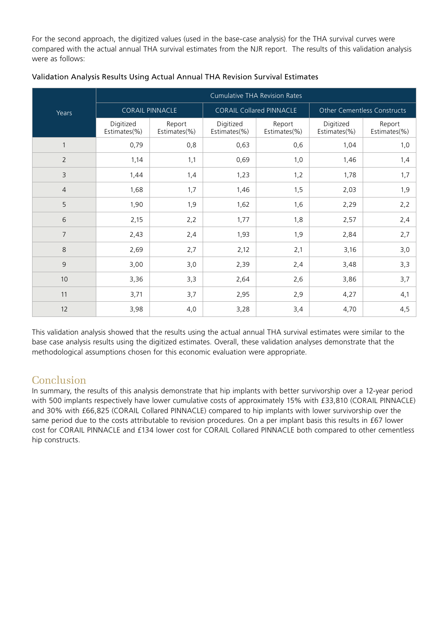For the second approach, the digitized values (used in the base-case analysis) for the THA survival curves were compared with the actual annual THA survival estimates from the NJR report. The results of this validation analysis were as follows:

|                | <b>Cumulative THA Revision Rates</b> |                        |                                 |                        |                             |                        |
|----------------|--------------------------------------|------------------------|---------------------------------|------------------------|-----------------------------|------------------------|
| Years          | <b>CORAIL PINNACLE</b>               |                        | <b>CORAIL Collared PINNACLE</b> |                        | Other Cementless Constructs |                        |
|                | Digitized<br>Estimates(%)            | Report<br>Estimates(%) | Digitized<br>Estimates(%)       | Report<br>Estimates(%) | Digitized<br>Estimates(%)   | Report<br>Estimates(%) |
| $\mathbf{1}$   | 0,79                                 | 0,8                    | 0,63                            | 0,6                    | 1,04                        | 1,0                    |
| $\overline{2}$ | 1,14                                 | 1,1                    | 0,69                            | 1,0                    | 1,46                        | 1,4                    |
| 3              | 1,44                                 | 1,4                    | 1,23                            | 1,2                    | 1,78                        | 1,7                    |
| $\overline{4}$ | 1,68                                 | 1,7                    | 1,46                            | 1,5                    | 2,03                        | 1,9                    |
| 5              | 1,90                                 | 1,9                    | 1,62                            | 1,6                    | 2,29                        | 2,2                    |
| 6              | 2,15                                 | 2,2                    | 1,77                            | 1,8                    | 2,57                        | 2,4                    |
| $\overline{7}$ | 2,43                                 | 2,4                    | 1,93                            | 1,9                    | 2,84                        | 2,7                    |
| 8              | 2,69                                 | 2,7                    | 2,12                            | 2,1                    | 3,16                        | 3,0                    |
| 9              | 3,00                                 | 3,0                    | 2,39                            | 2,4                    | 3,48                        | 3,3                    |
| 10             | 3,36                                 | 3,3                    | 2,64                            | 2,6                    | 3,86                        | 3,7                    |
| 11             | 3,71                                 | 3,7                    | 2,95                            | 2,9                    | 4,27                        | 4,1                    |
| 12             | 3,98                                 | 4,0                    | 3,28                            | 3,4                    | 4,70                        | 4,5                    |

#### Validation Analysis Results Using Actual Annual THA Revision Survival Estimates

This validation analysis showed that the results using the actual annual THA survival estimates were similar to the base case analysis results using the digitized estimates. Overall, these validation analyses demonstrate that the methodological assumptions chosen for this economic evaluation were appropriate.

# Conclusion

In summary, the results of this analysis demonstrate that hip implants with better survivorship over a 12-year period with 500 implants respectively have lower cumulative costs of approximately 15% with £33,810 (CORAIL PINNACLE) and 30% with £66,825 (CORAIL Collared PINNACLE) compared to hip implants with lower survivorship over the same period due to the costs attributable to revision procedures. On a per implant basis this results in £67 lower cost for CORAIL PINNACLE and £134 lower cost for CORAIL Collared PINNACLE both compared to other cementless hip constructs.